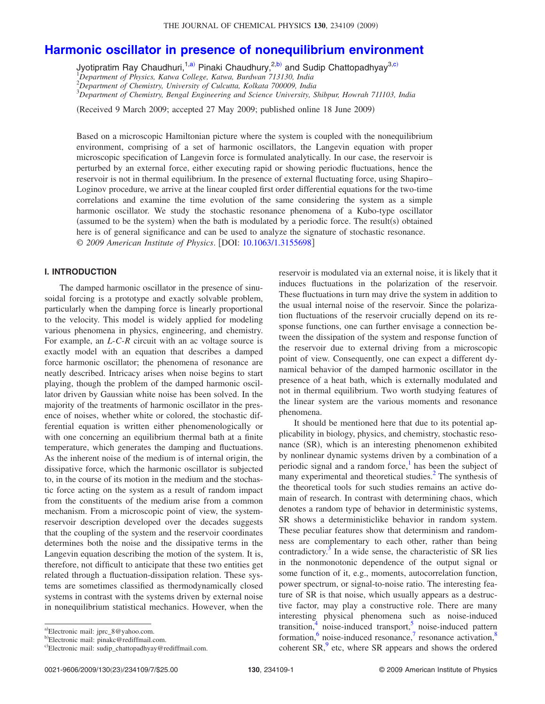# **Harmonic oscillator in presence of nonequilibrium environment**

Jyotipratim Ray Chaudhuri,<sup>1,a)</sup> Pinaki Chaudhury,<sup>2,b)</sup> and Sudip Chattopadhyay<sup>3,c)</sup>

<sup>1</sup>*Department of Physics, Katwa College, Katwa, Burdwan 713130, India*

<sup>2</sup>*Department of Chemistry, University of Culcutta, Kolkata 700009, India*

<sup>3</sup>*Department of Chemistry, Bengal Engineering and Science University, Shibpur, Howrah 711103, India*

Received 9 March 2009; accepted 27 May 2009; published online 18 June 2009-

Based on a microscopic Hamiltonian picture where the system is coupled with the nonequilibrium environment, comprising of a set of harmonic oscillators, the Langevin equation with proper microscopic specification of Langevin force is formulated analytically. In our case, the reservoir is perturbed by an external force, either executing rapid or showing periodic fluctuations, hence the reservoir is not in thermal equilibrium. In the presence of external fluctuating force, using Shapiro– Loginov procedure, we arrive at the linear coupled first order differential equations for the two-time correlations and examine the time evolution of the same considering the system as a simple harmonic oscillator. We study the stochastic resonance phenomena of a Kubo-type oscillator (assumed to be the system) when the bath is modulated by a periodic force. The result(s) obtained here is of general significance and can be used to analyze the signature of stochastic resonance. © 2009 American Institute of Physics. [DOI: 10.1063/1.3155698]

### **I. INTRODUCTION**

The damped harmonic oscillator in the presence of sinusoidal forcing is a prototype and exactly solvable problem, particularly when the damping force is linearly proportional to the velocity. This model is widely applied for modeling various phenomena in physics, engineering, and chemistry. For example, an *L*-*C*-*R* circuit with an ac voltage source is exactly model with an equation that describes a damped force harmonic oscillator; the phenomena of resonance are neatly described. Intricacy arises when noise begins to start playing, though the problem of the damped harmonic oscillator driven by Gaussian white noise has been solved. In the majority of the treatments of harmonic oscillator in the presence of noises, whether white or colored, the stochastic differential equation is written either phenomenologically or with one concerning an equilibrium thermal bath at a finite temperature, which generates the damping and fluctuations. As the inherent noise of the medium is of internal origin, the dissipative force, which the harmonic oscillator is subjected to, in the course of its motion in the medium and the stochastic force acting on the system as a result of random impact from the constituents of the medium arise from a common mechanism. From a microscopic point of view, the systemreservoir description developed over the decades suggests that the coupling of the system and the reservoir coordinates determines both the noise and the dissipative terms in the Langevin equation describing the motion of the system. It is, therefore, not difficult to anticipate that these two entities get related through a fluctuation-dissipation relation. These systems are sometimes classified as thermodynamically closed systems in contrast with the systems driven by external noise in nonequilibrium statistical mechanics. However, when the

reservoir is modulated via an external noise, it is likely that it induces fluctuations in the polarization of the reservoir. These fluctuations in turn may drive the system in addition to the usual internal noise of the reservoir. Since the polarization fluctuations of the reservoir crucially depend on its response functions, one can further envisage a connection between the dissipation of the system and response function of the reservoir due to external driving from a microscopic point of view. Consequently, one can expect a different dynamical behavior of the damped harmonic oscillator in the presence of a heat bath, which is externally modulated and not in thermal equilibrium. Two worth studying features of the linear system are the various moments and resonance phenomena.

It should be mentioned here that due to its potential applicability in biology, physics, and chemistry, stochastic resonance (SR), which is an interesting phenomenon exhibited by nonlinear dynamic systems driven by a combination of a periodic signal and a random force, $\frac{1}{1}$  has been the subject of many experimental and theoretical studies.<sup>2</sup> The synthesis of the theoretical tools for such studies remains an active domain of research. In contrast with determining chaos, which denotes a random type of behavior in deterministic systems, SR shows a deterministiclike behavior in random system. These peculiar features show that determinism and randomness are complementary to each other, rather than being contradictory. $\overline{3}$  In a wide sense, the characteristic of SR lies in the nonmonotonic dependence of the output signal or some function of it, e.g., moments, autocorrelation function, power spectrum, or signal-to-noise ratio. The interesting feature of SR is that noise, which usually appears as a destructive factor, may play a constructive role. There are many interesting physical phenomena such as noise-induced transition, $\frac{4}{1}$  noise-induced transport, $\frac{5}{1}$  noise-induced pattern formation,  $6$  noise-induced resonance,  $7$  resonance activation,  $8$ coherent  $SR$ ,  $\frac{9}{2}$  etc, where SR appears and shows the ordered

a)Electronic mail: jprc\_8@yahoo.com.

<sup>&</sup>lt;sup>b)</sup>Electronic mail: pinakc@rediffmail.com.

c)Electronic mail: sudip\_chattopadhyay@rediffmail.com.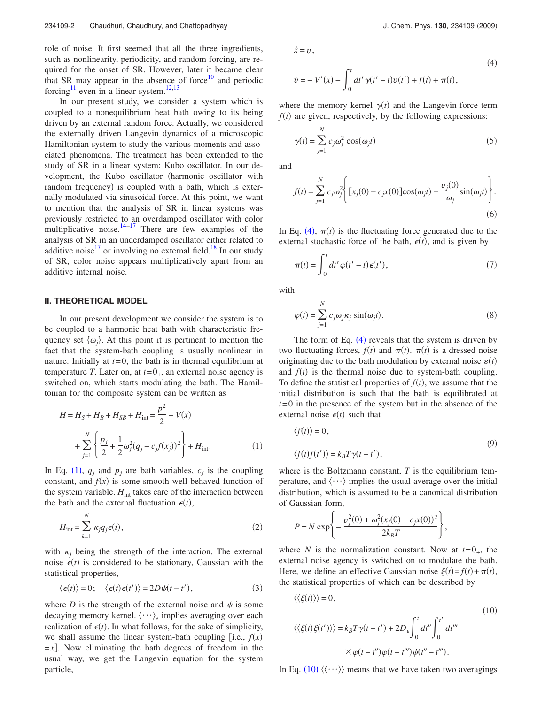role of noise. It first seemed that all the three ingredients, such as nonlinearity, periodicity, and random forcing, are required for the onset of SR. However, later it became clear that SR may appear in the absence of force $10$  and periodic forcing<sup>11</sup> even in a linear system.<sup>12,13</sup>

In our present study, we consider a system which is coupled to a nonequilibrium heat bath owing to its being driven by an external random force. Actually, we considered the externally driven Langevin dynamics of a microscopic Hamiltonian system to study the various moments and associated phenomena. The treatment has been extended to the study of SR in a linear system: Kubo oscillator. In our development, the Kubo oscillator (harmonic oscillator with random frequency) is coupled with a bath, which is externally modulated via sinusoidal force. At this point, we want to mention that the analysis of SR in linear systems was previously restricted to an overdamped oscillator with color multiplicative noise. $14-17$  There are few examples of the analysis of SR in an underdamped oscillator either related to additive noise<sup>17</sup> or involving no external field.<sup>18</sup> In our study of SR, color noise appears multiplicatively apart from an additive internal noise.

#### **II. THEORETICAL MODEL**

In our present development we consider the system is to be coupled to a harmonic heat bath with characteristic frequency set  $\{\omega_j\}$ . At this point it is pertinent to mention the fact that the system-bath coupling is usually nonlinear in nature. Initially at  $t=0$ , the bath is in thermal equilibrium at temperature *T*. Later on, at  $t = 0_+$ , an external noise agency is switched on, which starts modulating the bath. The Hamiltonian for the composite system can be written as

$$
H = H_S + H_B + H_{SB} + H_{int} = \frac{p^2}{2} + V(x)
$$
  
+ 
$$
\sum_{j=1}^{N} \left\{ \frac{p_j}{2} + \frac{1}{2} \omega_j^2 (q_j - c_j f(x_j))^2 \right\} + H_{int}.
$$
 (1)

In Eq. (1),  $q_j$  and  $p_j$  are bath variables,  $c_j$  is the coupling constant, and  $f(x)$  is some smooth well-behaved function of the system variable.  $H_{int}$  takes care of the interaction between the bath and the external fluctuation  $\epsilon(t)$ ,

$$
H_{\text{int}} = \sum_{k=1}^{N} \kappa_j q_j \epsilon(t),
$$
\n(2)

with  $\kappa_j$  being the strength of the interaction. The external noise  $\epsilon(t)$  is considered to be stationary, Gaussian with the statistical properties,

$$
\langle \epsilon(t) \rangle = 0; \quad \langle \epsilon(t) \epsilon(t') \rangle = 2D\psi(t - t'), \tag{3}
$$

where *D* is the strength of the external noise and  $\psi$  is some decaying memory kernel.  $\langle \cdots \rangle_e$  implies averaging over each realization of  $\epsilon(t)$ . In what follows, for the sake of simplicity, we shall assume the linear system-bath coupling [i.e.,  $f(x)$  $=x$ . Now eliminating the bath degrees of freedom in the usual way, we get the Langevin equation for the system particle,

 $\dot{x} = v$ ,

(4)  

$$
\dot{v} = -V'(x) - \int_0^t dt' \gamma(t'-t)v(t') + f(t) + \pi(t),
$$

where the memory kernel  $\gamma(t)$  and the Langevin force term  $f(t)$  are given, respectively, by the following expressions:

$$
\gamma(t) = \sum_{j=1}^{N} c_j \omega_j^2 \cos(\omega_j t)
$$
 (5)

and

$$
f(t) = \sum_{j=1}^{N} c_j \omega_j^2 \left\{ \left[ x_j(0) - c_j x(0) \right] \cos(\omega_j t) + \frac{v_j(0)}{\omega_j} \sin(\omega_j t) \right\}.
$$
\n
$$
(6)
$$

In Eq.  $(4)$ ,  $\pi(t)$  is the fluctuating force generated due to the external stochastic force of the bath,  $\epsilon(t)$ , and is given by

$$
\pi(t) = \int_0^t dt' \varphi(t'-t) \epsilon(t'), \qquad (7)
$$

with

$$
\varphi(t) = \sum_{j=1}^{N} c_j \omega_j \kappa_j \sin(\omega_j t). \tag{8}
$$

The form of Eq.  $(4)$  reveals that the system is driven by two fluctuating forces,  $f(t)$  and  $\pi(t)$ .  $\pi(t)$  is a dressed noise originating due to the bath modulation by external noise  $\varepsilon(t)$ and  $f(t)$  is the thermal noise due to system-bath coupling. To define the statistical properties of  $f(t)$ , we assume that the initial distribution is such that the bath is equilibrated at *t*=0 in the presence of the system but in the absence of the external noise  $\epsilon(t)$  such that

$$
\langle f(t) \rangle = 0,
$$
  

$$
\langle f(t)f(t') \rangle = k_B T \gamma (t - t'),
$$
 (9)

where is the Boltzmann constant, *T* is the equilibrium temperature, and  $\langle \cdots \rangle$  implies the usual average over the initial distribution, which is assumed to be a canonical distribution of Gaussian form,

$$
P = N \exp \left\{ -\frac{v_j^2(0) + \omega_j^2 (x_j(0) - c_j x(0))^2}{2k_B T} \right\},\,
$$

where *N* is the normalization constant. Now at  $t=0_+$ , the external noise agency is switched on to modulate the bath. Here, we define an effective Gaussian noise  $\xi(t) = f(t) + \pi(t)$ , the statistical properties of which can be described by

$$
\langle\langle \xi(t) \rangle\rangle = 0, \qquad (10)
$$
  

$$
\langle\langle \xi(t) \xi(t') \rangle\rangle = k_B T \gamma(t - t') + 2D_{\epsilon} \int_0^t dt'' \int_0^{t'} dt'''
$$
  

$$
\times \varphi(t - t'') \varphi(t - t''') \psi(t'' - t''').
$$

In Eq. (10)  $\langle \langle \cdots \rangle \rangle$  means that we have taken two averagings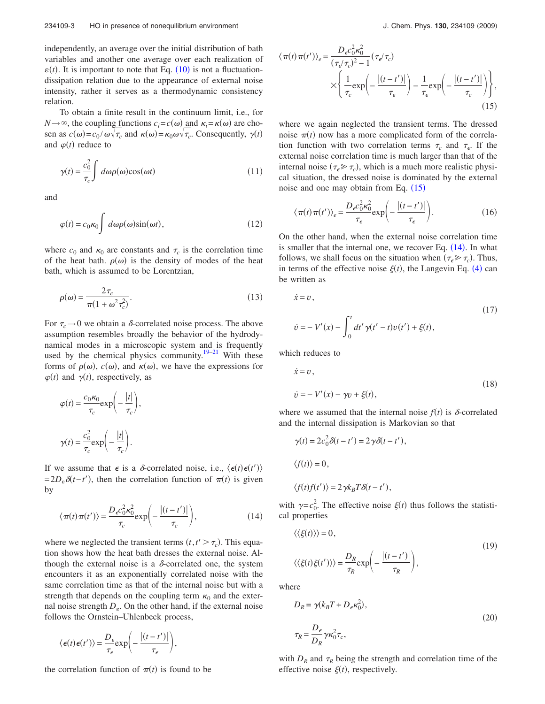independently, an average over the initial distribution of bath variables and another one average over each realization of  $\varepsilon(t)$ . It is important to note that Eq. (10) is not a fluctuationdissipation relation due to the appearance of external noise intensity, rather it serves as a thermodynamic consistency relation.

To obtain a finite result in the continuum limit, i.e., for  $N \rightarrow \infty$ , the coupling functions  $c_i = c(\omega)$  and  $\kappa_i = \kappa(\omega)$  are chosen as  $c(\omega) = c_0/\omega \sqrt{\tau_c}$  and  $\kappa(\omega) = \kappa_0 \omega \sqrt{\tau_c}$ . Consequently,  $\gamma(t)$ and  $\varphi(t)$  reduce to

$$
\gamma(t) = \frac{c_0^2}{\tau_c} \int d\omega \rho(\omega) \cos(\omega t)
$$
 (11)

and

$$
\varphi(t) = c_0 \kappa_0 \int d\omega \rho(\omega) \sin(\omega t), \qquad (12)
$$

where  $c_0$  and  $\kappa_0$  are constants and  $\tau_c$  is the correlation time of the heat bath.  $\rho(\omega)$  is the density of modes of the heat bath, which is assumed to be Lorentzian,

$$
\rho(\omega) = \frac{2\tau_c}{\pi (1 + \omega^2 \tau_c^2)}.
$$
\n(13)

For  $\tau_c \rightarrow 0$  we obtain a  $\delta$ -correlated noise process. The above assumption resembles broadly the behavior of the hydrodynamical modes in a microscopic system and is frequently used by the chemical physics community.<sup>19–21</sup> With these forms of  $\rho(\omega)$ ,  $c(\omega)$ , and  $\kappa(\omega)$ , we have the expressions for  $\varphi(t)$  and  $\gamma(t)$ , respectively, as

$$
\varphi(t) = \frac{c_0 \kappa_0}{\tau_c} \exp\left(-\frac{|t|}{\tau_c}\right),
$$

$$
\gamma(t) = \frac{c_0^2}{\tau_c} \exp\left(-\frac{|t|}{\tau_c}\right).
$$

If we assume that  $\epsilon$  is a  $\delta$ -correlated noise, i.e.,  $\langle \epsilon(t) \epsilon(t') \rangle$  $=2D_{\varepsilon}\delta(t-t')$ , then the correlation function of  $\pi(t)$  is given by

$$
\langle \pi(t)\pi(t')\rangle = \frac{D_e c_0^2 \kappa_0^2}{\tau_c} \exp\biggl(-\frac{|(t-t')|}{\tau_c}\biggr),\tag{14}
$$

where we neglected the transient terms  $(t, t' > \tau_c)$ . This equation shows how the heat bath dresses the external noise. Although the external noise is a  $\delta$ -correlated one, the system encounters it as an exponentially correlated noise with the same correlation time as that of the internal noise but with a strength that depends on the coupling term  $\kappa_0$  and the external noise strength  $D_{\varepsilon}$ . On the other hand, if the external noise follows the Ornstein–Uhlenbeck process,

$$
\langle \epsilon(t) \epsilon(t') \rangle = \frac{D_{\epsilon}}{\tau_{\epsilon}} \exp\left(-\frac{|(t-t')|}{\tau_{\epsilon}}\right),\,
$$

the correlation function of  $\pi(t)$  is found to be

$$
\langle \pi(t)\pi(t')\rangle_e = \frac{D_e c_0^2 \kappa_0^2}{(\tau_\epsilon/\tau_c)^2 - 1} (\tau_\epsilon/\tau_c)
$$

$$
\times \left\{ \frac{1}{\tau_c} \exp\left(-\frac{|(t-t')|}{\tau_\epsilon}\right) - \frac{1}{\tau_\epsilon} \exp\left(-\frac{|(t-t')|}{\tau_c}\right) \right\},\tag{15}
$$

where we again neglected the transient terms. The dressed noise  $\pi(t)$  now has a more complicated form of the correlation function with two correlation terms  $\tau_c$  and  $\tau_{\epsilon}$ . If the external noise correlation time is much larger than that of the internal noise ( $\tau_{\epsilon} \gg \tau_c$ ), which is a much more realistic physical situation, the dressed noise is dominated by the external noise and one may obtain from Eq.  $(15)$ 

$$
\langle \pi(t)\pi(t')\rangle_e = \frac{D_e c_0^2 \kappa_0^2}{\tau_\epsilon} \exp\biggl(-\frac{|(t-t')|}{\tau_\epsilon}\biggr). \tag{16}
$$

On the other hand, when the external noise correlation time is smaller that the internal one, we recover Eq.  $(14)$ . In what follows, we shall focus on the situation when  $(\tau_{\epsilon} \gg \tau_c)$ . Thus, in terms of the effective noise  $\xi(t)$ , the Langevin Eq. (4) can be written as

$$
\dot{x} = v, \qquad (17)
$$
\n
$$
\dot{v} = -V'(x) - \int_0^t dt' \gamma(t' - t)v(t') + \xi(t),
$$

which reduces to

$$
\begin{aligned} \dot{x} &= v, \\ \dot{v} &= -V'(x) - \gamma v + \xi(t), \end{aligned} \tag{18}
$$

where we assumed that the internal noise  $f(t)$  is  $\delta$ -correlated and the internal dissipation is Markovian so that

$$
\gamma(t) = 2c_0^2 \delta(t - t') = 2\gamma \delta(t - t'),
$$
  

$$
\langle f(t) \rangle = 0,
$$
  

$$
\langle f(t)f(t') \rangle = 2\gamma k_B T \delta(t - t'),
$$

with  $\gamma = c_0^2$ . The effective noise  $\xi(t)$  thus follows the statistical properties

$$
\langle \langle \xi(t) \rangle \rangle = 0, \qquad (19)
$$

$$
\langle \langle \xi(t) \xi(t') \rangle \rangle = \frac{D_R}{\tau_R} \exp\left(-\frac{|(t-t')|}{\tau_R}\right), \qquad (19)
$$

where

$$
D_R = \gamma (k_B T + D_{\epsilon} \kappa_0^2),
$$
  
\n
$$
\tau_R = \frac{D_{\epsilon}}{D_R} \gamma \kappa_0^2 \tau_c,
$$
\n(20)

with  $D_R$  and  $\tau_R$  being the strength and correlation time of the effective noise  $\xi(t)$ , respectively.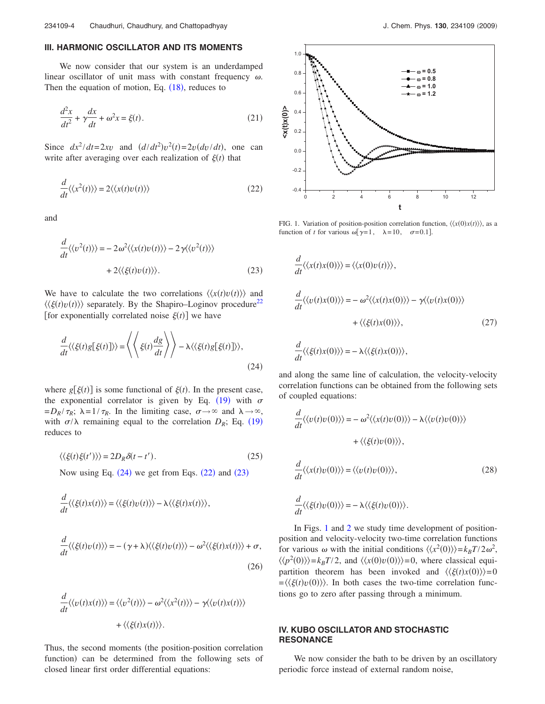### **III. HARMONIC OSCILLATOR AND ITS MOMENTS**

We now consider that our system is an underdamped linear oscillator of unit mass with constant frequency  $\omega$ . Then the equation of motion, Eq.  $(18)$ , reduces to

$$
\frac{d^2x}{dt^2} + \gamma \frac{dx}{dt} + \omega^2 x = \xi(t).
$$
 (21)

Since  $dx^2/dt = 2xv$  and  $(d/dt^2)v^2(t) = 2v(dv/dt)$ , one can write after averaging over each realization of  $\xi(t)$  that

$$
\frac{d}{dt}\langle\langle x^2(t)\rangle\rangle = 2\langle\langle x(t)v(t)\rangle\rangle
$$
\n(22)

and

$$
\frac{d}{dt}\langle \langle v^2(t) \rangle \rangle = -2\omega^2 \langle \langle x(t)v(t) \rangle \rangle - 2\gamma \langle \langle v^2(t) \rangle \rangle
$$
  
+ 2\langle \langle \xi(t)v(t) \rangle \rangle. (23)

We have to calculate the two correlations  $\langle\langle x(t)v(t)\rangle\rangle$  and  $\langle \langle \xi(t)v(t) \rangle \rangle$  separately. By the Shapiro–Loginov procedure<sup>22</sup> [for exponentially correlated noise  $\xi(t)$ ] we have

$$
\frac{d}{dt}\langle\langle\xi(t)g[\xi(t)]\rangle\rangle = \langle\langle \xi(t)\frac{dg}{dt}\rangle\rangle - \lambda\langle\langle\xi(t)g[\xi(t)]\rangle\rangle,\tag{24}
$$

where  $g[\xi(t)]$  is some functional of  $\xi(t)$ . In the present case, the exponential correlator is given by Eq. (19) with  $\sigma$  $= D_R / \tau_R$ ;  $\lambda = 1 / \tau_R$ . In the limiting case,  $\sigma \rightarrow \infty$  and  $\lambda \rightarrow \infty$ , with  $\sigma/\lambda$  remaining equal to the correlation  $D_R$ ; Eq. (19) reduces to

$$
\langle \langle \xi(t)\xi(t') \rangle \rangle = 2D_R \delta(t - t'). \tag{25}
$$

Now using Eq.  $(24)$  we get from Eqs.  $(22)$  and  $(23)$ 

$$
\frac{d}{dt}\langle\langle\xi(t)x(t)\rangle\rangle = \langle\langle\xi(t)v(t)\rangle\rangle - \lambda\langle\langle\xi(t)x(t)\rangle\rangle,
$$
\n
$$
\frac{d}{dt}\langle\langle\xi(t)v(t)\rangle\rangle = -(\gamma + \lambda)\langle\langle\xi(t)v(t)\rangle\rangle - \omega^2\langle\langle\xi(t)x(t)\rangle\rangle + \sigma,
$$
\n(26)

$$
\frac{d}{dt}\langle\langle v(t)x(t)\rangle\rangle = \langle\langle v^2(t)\rangle\rangle - \omega^2 \langle\langle x^2(t)\rangle\rangle - \gamma \langle\langle v(t)x(t)\rangle\rangle
$$

$$
+ \langle\langle \xi(t)x(t)\rangle\rangle.
$$

Thus, the second moments (the position-position correlation function) can be determined from the following sets of closed linear first order differential equations:



FIG. 1. Variation of position-position correlation function,  $\langle x(0)x(t) \rangle$ , as a function of *t* for various  $\omega[\gamma=1, \lambda=10, \sigma=0.1].$ 

$$
\frac{d}{dt}\langle\langle x(t)x(0)\rangle\rangle = \langle\langle x(0)v(t)\rangle\rangle,
$$
\n
$$
\frac{d}{dt}\langle\langle v(t)x(0)\rangle\rangle = -\omega^2 \langle\langle x(t)x(0)\rangle\rangle - \gamma \langle v(t)x(0)\rangle\rangle
$$
\n
$$
+ \langle\langle \xi(t)x(0)\rangle\rangle, \qquad (27)
$$

$$
\frac{d}{dt}\langle\langle \xi(t)x(0)\rangle\rangle = -\lambda \langle\langle \xi(t)x(0)\rangle\rangle,
$$

and along the same line of calculation, the velocity-velocity correlation functions can be obtained from the following sets of coupled equations:

$$
\frac{d}{dt}\langle\langle v(t)v(0)\rangle\rangle = -\omega^2 \langle\langle x(t)v(0)\rangle\rangle - \lambda \langle\langle v(t)v(0)\rangle\rangle
$$

$$
+\langle\langle \xi(t)v(0)\rangle\rangle,
$$

$$
\frac{d}{dt}\langle\langle x(t)v(0)\rangle\rangle = \langle\langle v(t)v(0)\rangle\rangle, \qquad (28)
$$

$$
\frac{d}{dt}\langle\langle \xi(t)v(0)\rangle\rangle = -\lambda \langle\langle \xi(t)v(0)\rangle\rangle.
$$

In Figs. 1 and 2 we study time development of positionposition and velocity-velocity two-time correlation functions for various  $\omega$  with the initial conditions  $\langle \langle x^2(0) \rangle \rangle = k_B T / 2 \omega^2$ ,  $\langle \langle p^2(0) \rangle \rangle = k_B T/2$ , and  $\langle \langle x(0) v(0) \rangle \rangle = 0$ , where classical equipartition theorem has been invoked and  $\langle \langle \xi(t)x(0) \rangle \rangle = 0$  $=\langle \langle \xi(t)v(0) \rangle \rangle$ . In both cases the two-time correlation functions go to zero after passing through a minimum.

# **IV. KUBO OSCILLATOR AND STOCHASTIC RESONANCE**

We now consider the bath to be driven by an oscillatory periodic force instead of external random noise,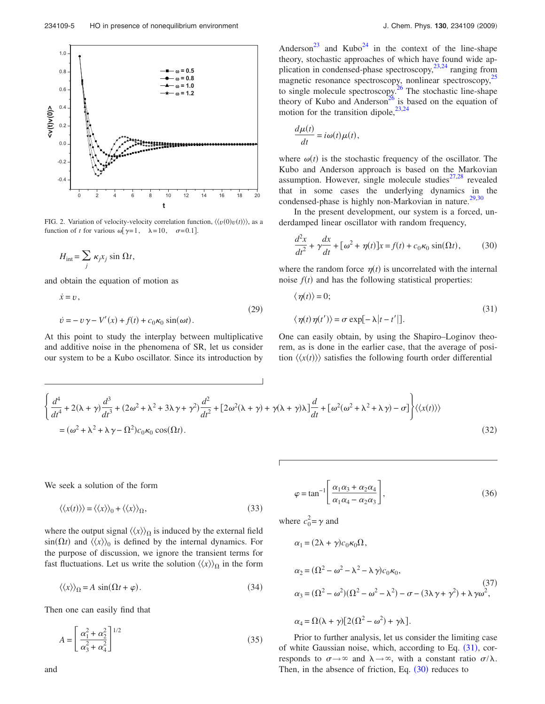

FIG. 2. Variation of velocity-velocity correlation function,  $\langle v(0)v(t) \rangle$ , as a function of *t* for various  $\omega[\gamma=1, \lambda=10, \sigma=0.1].$ 

$$
H_{\rm int} = \sum_j \kappa_j x_j \sin \Omega t,
$$

and obtain the equation of motion as

$$
\dot{x} = v,
$$
  
\n
$$
\dot{v} = -v\gamma - V'(x) + f(t) + c_0\kappa_0 \sin(\omega t).
$$
\n(29)

At this point to study the interplay between multiplicative and additive noise in the phenomena of SR, let us consider our system to be a Kubo oscillator. Since its introduction by Anderson<sup>23</sup> and Kubo<sup>24</sup> in the context of the line-shape theory, stochastic approaches of which have found wide application in condensed-phase spectroscopy, $^{23,24}$  ranging from magnetic resonance spectroscopy, nonlinear spectroscopy,<sup>25</sup> to single molecule spectroscopy.<sup>26</sup> The stochastic line-shape theory of Kubo and Anderson<sup>26</sup> is based on the equation of motion for the transition dipole,  $23,24$ 

$$
\frac{d\mu(t)}{dt} = i\omega(t)\mu(t),
$$

where  $\omega(t)$  is the stochastic frequency of the oscillator. The Kubo and Anderson approach is based on the Markovian assumption. However, single molecule studies $27,28$  revealed that in some cases the underlying dynamics in the condensed-phase is highly non-Markovian in nature.<sup>29,30</sup>

In the present development, our system is a forced, underdamped linear oscillator with random frequency,

$$
\frac{d^2x}{dt^2} + \gamma \frac{dx}{dt} + [\omega^2 + \eta(t)]x = f(t) + c_0 \kappa_0 \sin(\Omega t),\tag{30}
$$

where the random force  $\eta(t)$  is uncorrelated with the internal noise  $f(t)$  and has the following statistical properties:

$$
\langle \eta(t) \rangle = 0; \langle \eta(t) \eta(t') \rangle = \sigma \exp[-\lambda |t - t'|].
$$
\n(31)

One can easily obtain, by using the Shapiro–Loginov theorem, as is done in the earlier case, that the average of position  $\langle x(t) \rangle$  satisfies the following fourth order differential

$$
\begin{split} &\left\{\frac{d^4}{dt^4} + 2(\lambda + \gamma)\frac{d^3}{dt^3} + (2\omega^2 + \lambda^2 + 3\lambda\gamma + \gamma^2)\frac{d^2}{dt^2} + \left[2\omega^2(\lambda + \gamma) + \gamma(\lambda + \gamma)\lambda\right]\frac{d}{dt} + \left[\omega^2(\omega^2 + \lambda^2 + \lambda\gamma) - \sigma\right]\right\} \langle\langle x(t) \rangle\rangle \\ &= (\omega^2 + \lambda^2 + \lambda\gamma - \Omega^2)c_0\kappa_0\cos(\Omega t). \end{split} \tag{32}
$$

We seek a solution of the form

$$
\langle \langle x(t) \rangle \rangle = \langle \langle x \rangle \rangle_0 + \langle \langle x \rangle \rangle_{\Omega},\tag{33}
$$

where the output signal  $\langle\langle x \rangle\rangle_{\Omega}$  is induced by the external field  $\sin(\Omega t)$  and  $\langle\langle x\rangle\rangle_0$  is defined by the internal dynamics. For the purpose of discussion, we ignore the transient terms for fast fluctuations. Let us write the solution  $\langle\langle x \rangle\rangle_{\Omega}$  in the form

$$
\langle \langle x \rangle \rangle_{\Omega} = A \sin(\Omega t + \varphi). \tag{34}
$$

Then one can easily find that

$$
A = \left[ \frac{\alpha_1^2 + \alpha_2^2}{\alpha_3^2 + \alpha_4^2} \right]^{1/2} \tag{35}
$$

$$
\varphi = \tan^{-1} \left[ \frac{\alpha_1 \alpha_3 + \alpha_2 \alpha_4}{\alpha_1 \alpha_4 - \alpha_2 \alpha_3} \right],
$$
\n(36)

where  $c_0^2 = \gamma$  and

 $\alpha_1 = (2\lambda + \gamma)c_0\kappa_0\Omega,$ 

$$
\alpha_2 = (\Omega^2 - \omega^2 - \lambda^2 - \lambda \gamma)c_0 \kappa_0,
$$
\n
$$
\alpha_3 = (\Omega^2 - \omega^2)(\Omega^2 - \omega^2 - \lambda^2) - \sigma - (3\lambda \gamma + \gamma^2) + \lambda \gamma \omega^2,
$$
\n(37)

 $\alpha_4 = \Omega(\lambda + \gamma)[2(\Omega^2 - \omega^2) + \gamma \lambda].$ 

Prior to further analysis, let us consider the limiting case of white Gaussian noise, which, according to Eq.  $(31)$ , corresponds to  $\sigma \rightarrow \infty$  and  $\lambda \rightarrow \infty$ , with a constant ratio  $\sigma/\lambda$ . Then, in the absence of friction, Eq.  $(30)$  reduces to

and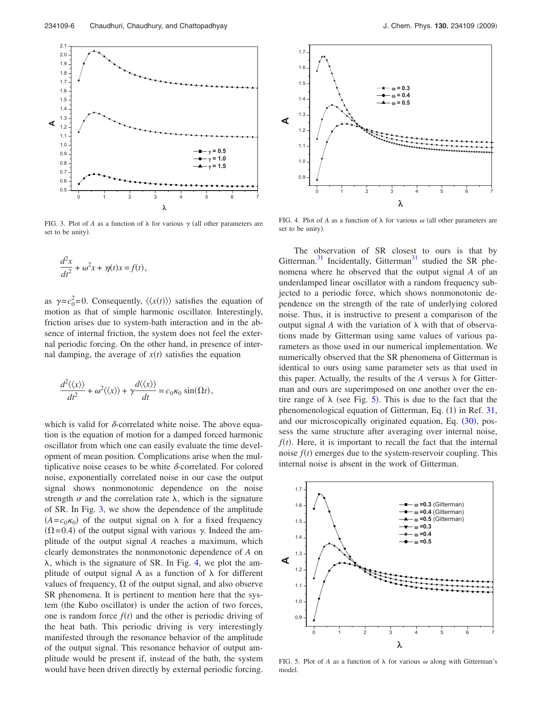

FIG. 3. Plot of *A* as a function of  $\lambda$  for various  $\gamma$  (all other parameters are set to be unity).

$$
\frac{d^2x}{dt^2} + \omega^2 x + \eta(t)x = f(t),
$$

as  $\gamma = c_0^2 = 0$ . Consequently,  $\langle x(t) \rangle$  satisfies the equation of motion as that of simple harmonic oscillator. Interestingly, friction arises due to system-bath interaction and in the absence of internal friction, the system does not feel the external periodic forcing. On the other hand, in presence of internal damping, the average of  $x(t)$  satisfies the equation

$$
\frac{d^2\langle\langle x\rangle\rangle}{dt^2} + \omega^2\langle\langle x\rangle\rangle + \gamma \frac{d\langle\langle x\rangle\rangle}{dt} = c_0\kappa_0 \sin(\Omega t),
$$

which is valid for  $\delta$ -correlated white noise. The above equation is the equation of motion for a damped forced harmonic oscillator from which one can easily evaluate the time development of mean position. Complications arise when the multiplicative noise ceases to be white  $\delta$ -correlated. For colored noise, exponentially correlated noise in our case the output signal shows nonmonotonic dependence on the noise strength  $\sigma$  and the correlation rate  $\lambda$ , which is the signature of SR. In Fig. 3, we show the dependence of the amplitude  $(A = c_0 \kappa_0)$  of the output signal on  $\lambda$  for a fixed frequency  $(\Omega = 0.4)$  of the output signal with various  $\gamma$ . Indeed the amplitude of the output signal *A* reaches a maximum, which clearly demonstrates the nonmonotonic dependence of *A* on  $\lambda$ , which is the signature of SR. In Fig. 4, we plot the amplitude of output signal A as a function of  $\lambda$  for different values of frequency,  $\Omega$  of the output signal, and also observe SR phenomena. It is pertinent to mention here that the system (the Kubo oscillator) is under the action of two forces, one is random force  $f(t)$  and the other is periodic driving of the heat bath. This periodic driving is very interestingly manifested through the resonance behavior of the amplitude of the output signal. This resonance behavior of output amplitude would be present if, instead of the bath, the system would have been driven directly by external periodic forcing.



FIG. 4. Plot of *A* as a function of  $\lambda$  for various  $\omega$  (all other parameters are set to be unity).

The observation of SR closest to ours is that by Gitterman.<sup>31</sup> Incidentally, Gitterman<sup>31</sup> studied the SR phenomena where he observed that the output signal *A* of an underdamped linear oscillator with a random frequency subjected to a periodic force, which shows nonmonotonic dependence on the strength of the rate of underlying colored noise. Thus, it is instructive to present a comparison of the output signal A with the variation of  $\lambda$  with that of observations made by Gitterman using same values of various parameters as those used in our numerical implementation. We numerically observed that the SR phenomena of Gitterman is identical to ours using same parameter sets as that used in this paper. Actually, the results of the  $A$  versus  $\lambda$  for Gitterman and ours are superimposed on one another over the entire range of  $\lambda$  (see Fig. 5). This is due to the fact that the phenomenological equation of Gitterman, Eq. (1) in Ref. 31, and our microscopically originated equation, Eq. (30), possess the same structure after averaging over internal noise,  $f(t)$ . Here, it is important to recall the fact that the internal noise  $f(t)$  emerges due to the system-reservoir coupling. This internal noise is absent in the work of Gitterman.



FIG. 5. Plot of *A* as a function of  $\lambda$  for various  $\omega$  along with Gitterman's model.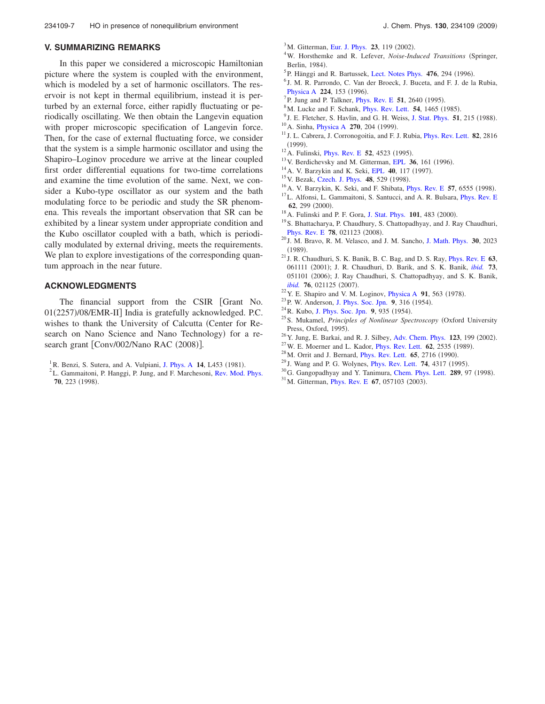#### **V. SUMMARIZING REMARKS**

In this paper we considered a microscopic Hamiltonian picture where the system is coupled with the environment, which is modeled by a set of harmonic oscillators. The reservoir is not kept in thermal equilibrium, instead it is perturbed by an external force, either rapidly fluctuating or periodically oscillating. We then obtain the Langevin equation with proper microscopic specification of Langevin force. Then, for the case of external fluctuating force, we consider that the system is a simple harmonic oscillator and using the Shapiro–Loginov procedure we arrive at the linear coupled first order differential equations for two-time correlations and examine the time evolution of the same. Next, we consider a Kubo-type oscillator as our system and the bath modulating force to be periodic and study the SR phenomena. This reveals the important observation that SR can be exhibited by a linear system under appropriate condition and the Kubo oscillator coupled with a bath, which is periodically modulated by external driving, meets the requirements. We plan to explore investigations of the corresponding quantum approach in the near future.

## **ACKNOWLEDGMENTS**

The financial support from the CSIR [Grant No. 01(2257)/08/EMR-II] India is gratefully acknowledged. P.C. wishes to thank the University of Calcutta (Center for Research on Nano Science and Nano Technology) for a research grant [Conv/002/Nano RAC (2008)].

<sup>2</sup>L. Gammaitoni, P. Hanggi, P. Jung, and F. Marchesoni, Rev. Mod. Phys. **70**, 223 (1998).

- <sup>3</sup>M. Gitterman, Eur. J. Phys. **23**, 119 (2002).
- <sup>4</sup>W. Horsthemke and R. Lefever, *Noise-Induced Transitions* (Springer, Berlin, 1984).
- <sup>5</sup>P. Hänggi and R. Bartussek, Lect. Notes Phys. 476, 294 (1996).
- 6 J. M. R. Parrondo, C. Van der Broeck, J. Buceta, and F. J. de la Rubia, Physica A 224, 153 (1996).
- <sup>7</sup> P. Jung and P. Talkner, *Phys. Rev. E* 51, 2640 (1995).
- ${}^{8}$ M. Lucke and F. Schank, *Phys. Rev. Lett.* **54**, 1465 (1985).
- <sup>9</sup> J. E. Fletcher, S. Havlin, and G. H. Weiss, J. Stat. Phys. 51, 215 (1988).
- <sup>10</sup> A. Sinha, *Physica A* **270**, 204 (1999).
- <sup>11</sup> J. L. Cabrera, J. Corronogoitia, and F. J. Rubia, Phys. Rev. Lett. **82**, 2816  $(1999).$
- <sup>12</sup> A. Fulinski, *Phys. Rev. E* **52**, 4523 (1995).
- $^{13}$  V. Berdichevsky and M. Gitterman, EPL 36, 161 (1996).
- <sup>14</sup> A. V. Barzykin and K. Seki, EPL 40, 117 (1997).
- <sup>15</sup> V. Bezak, Czech. J. Phys. **48**, 529 (1998).
- <sup>16</sup> A. V. Barzykin, K. Seki, and F. Shibata, *Phys. Rev. E* 57, 6555 (1998).
- <sup>17</sup>L. Alfonsi, L. Gammaitoni, S. Santucci, and A. R. Bulsara, *Phys. Rev. E* 62, 299 (2000).
- <sup>18</sup> A. Fulinski and P. F. Gora, J. Stat. Phys. 101, 483 (2000).
- <sup>19</sup> S. Bhattacharya, P. Chaudhury, S. Chattopadhyay, and J. Ray Chaudhuri, Phys. Rev. E 78, 021123 (2008).
- <sup>20</sup> J. M. Bravo, R. M. Velasco, and J. M. Sancho, J. Math. Phys. **30**, 2023  $(1989).$
- <sup>21</sup> J. R. Chaudhuri, S. K. Banik, B. C. Bag, and D. S. Ray, Phys. Rev. E **63**, 061111 (2001); J. R. Chaudhuri, D. Barik, and S. K. Banik, *ibid.* 73, 051101 (2006); J. Ray Chaudhuri, S. Chattopadhyay, and S. K. Banik, *ibid.* **76**, 021125 (2007).
- $22$  Y. E. Shapiro and V. M. Loginov, *Physica A* **91**, 563 (1978).
- <sup>23</sup> P. W. Anderson, J. Phys. Soc. Jpn. 9, 316 (1954).
- <sup>24</sup> R. Kubo, J. Phys. Soc. Jpn. 9, 935 (1954).
- <sup>25</sup> S. Mukamel, *Principles of Nonlinear Spectroscopy* (Oxford University Press, Oxford, 1995).
- <sup>26</sup> Y. Jung, E. Barkai, and R. J. Silbey, Adv. Chem. Phys. **123**, 199 (2002).
- <sup>27</sup> W. E. Moerner and L. Kador, *Phys. Rev. Lett.* **62**, 2535 (1989).
- $^{28}$ M. Orrit and J. Bernard, *Phys. Rev. Lett.* **65**, 2716 (1990).
- <sup>29</sup> J. Wang and P. G. Wolynes, *Phys. Rev. Lett.* **74**, 4317 (1995).
- <sup>30</sup>G. Gangopadhyay and Y. Tanimura, Chem. Phys. Lett. 289, 97 (1998).
- $31$  M. Gitterman, *Phys. Rev. E* 67, 057103 (2003).

<sup>&</sup>lt;sup>1</sup> R. Benzi, S. Sutera, and A. Vulpiani, J. Phys. A 14, L453 (1981).